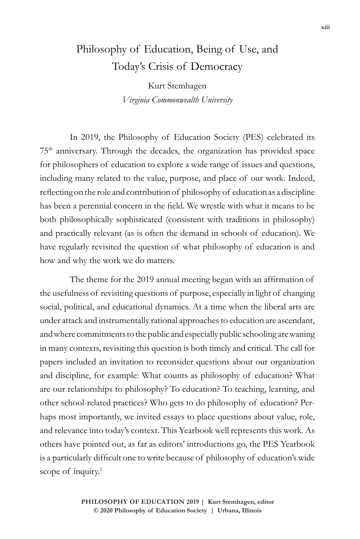## Philosophy of Education, Being of Use, and Today's Crisis of Democracy

Kurt Stemhagen *Virginia Commonwealth University*

In 2019, the Philosophy of Education Society (PES) celebrated its 75th anniversary. Through the decades, the organization has provided space for philosophers of education to explore a wide range of issues and questions, including many related to the value, purpose, and place of our work. Indeed, reflecting on the role and contribution of philosophy of education as a discipline has been a perennial concern in the field. We wrestle with what it means to be both philosophically sophisticated (consistent with traditions in philosophy) and practically relevant (as is often the demand in schools of education). We have regularly revisited the question of what philosophy of education is and how and why the work we do matters.

The theme for the 2019 annual meeting began with an affirmation of the usefulness of revisiting questions of purpose, especially in light of changing social, political, and educational dynamics. At a time when the liberal arts are under attack and instrumentally rational approaches to education are ascendant, and where commitments to the public and especially public schooling are waning in many contexts, revisiting this question is both timely and critical. The call for papers included an invitation to reconsider questions about our organization and discipline, for example: What counts as philosophy of education? What are our relationships to philosophy? To education? To teaching, learning, and other school-related practices? Who gets to do philosophy of education? Perhaps most importantly, we invited essays to place questions about value, role, and relevance into today's context. This Yearbook well represents this work. As others have pointed out, as far as editors' introductions go, the PES Yearbook is a particularly difficult one to write because of philosophy of education's wide scope of inquiry.<sup>1</sup>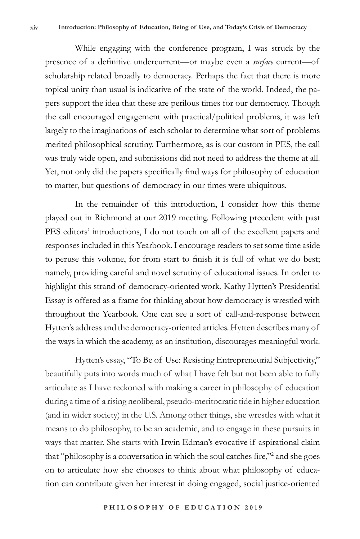While engaging with the conference program, I was struck by the presence of a definitive undercurrent—or maybe even a *surface* current—of scholarship related broadly to democracy. Perhaps the fact that there is more topical unity than usual is indicative of the state of the world. Indeed, the papers support the idea that these are perilous times for our democracy. Though the call encouraged engagement with practical/political problems, it was left largely to the imaginations of each scholar to determine what sort of problems merited philosophical scrutiny. Furthermore, as is our custom in PES, the call was truly wide open, and submissions did not need to address the theme at all. Yet, not only did the papers specifically find ways for philosophy of education to matter, but questions of democracy in our times were ubiquitous.

In the remainder of this introduction, I consider how this theme played out in Richmond at our 2019 meeting. Following precedent with past PES editors' introductions, I do not touch on all of the excellent papers and responses included in this Yearbook. I encourage readers to set some time aside to peruse this volume, for from start to finish it is full of what we do best; namely, providing careful and novel scrutiny of educational issues. In order to highlight this strand of democracy-oriented work, Kathy Hytten's Presidential Essay is offered as a frame for thinking about how democracy is wrestled with throughout the Yearbook. One can see a sort of call-and-response between Hytten's address and the democracy-oriented articles. Hytten describes many of the ways in which the academy, as an institution, discourages meaningful work.

Hytten's essay, "To Be of Use: Resisting Entrepreneurial Subjectivity," beautifully puts into words much of what I have felt but not been able to fully articulate as I have reckoned with making a career in philosophy of education during a time of a rising neoliberal, pseudo-meritocratic tide in higher education (and in wider society) in the U.S. Among other things, she wrestles with what it means to do philosophy, to be an academic, and to engage in these pursuits in ways that matter. She starts with Irwin Edman's evocative if aspirational claim that "philosophy is a conversation in which the soul catches fire,"<sup>2</sup> and she goes on to articulate how she chooses to think about what philosophy of education can contribute given her interest in doing engaged, social justice-oriented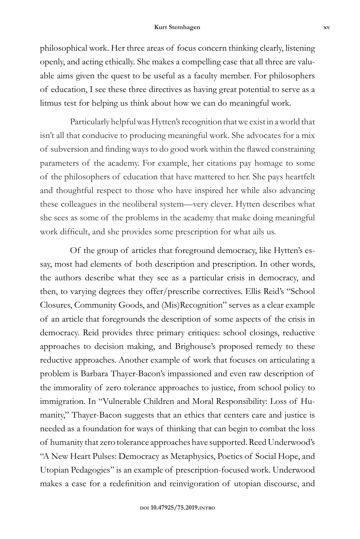philosophical work. Her three areas of focus concern thinking clearly, listening openly, and acting ethically. She makes a compelling case that all three are valuable aims given the quest to be useful as a faculty member. For philosophers of education, I see these three directives as having great potential to serve as a litmus test for helping us think about how we can do meaningful work.

Particularly helpful was Hytten's recognition that we exist in a world that isn't all that conducive to producing meaningful work. She advocates for a mix of subversion and finding ways to do good work within the flawed constraining parameters of the academy. For example, her citations pay homage to some of the philosophers of education that have mattered to her. She pays heartfelt and thoughtful respect to those who have inspired her while also advancing these colleagues in the neoliberal system—very clever. Hytten describes what she sees as some of the problems in the academy that make doing meaningful work difficult, and she provides some prescription for what ails us.

Of the group of articles that foreground democracy, like Hytten's essay, most had elements of both description and prescription. In other words, the authors describe what they see as a particular crisis in democracy, and then, to varying degrees they offer/prescribe correctives. Ellis Reid's "School Closures, Community Goods, and (Mis)Recognition" serves as a clear example of an article that foregrounds the description of some aspects of the crisis in democracy. Reid provides three primary critiques: school closings, reductive approaches to decision making, and Brighouse's proposed remedy to these reductive approaches. Another example of work that focuses on articulating a problem is Barbara Thayer-Bacon's impassioned and even raw description of the immorality of zero tolerance approaches to justice, from school policy to immigration. In "Vulnerable Children and Moral Responsibility: Loss of Humanity," Thayer-Bacon suggests that an ethics that centers care and justice is needed as a foundation for ways of thinking that can begin to combat the loss of humanity that zero tolerance approaches have supported. Reed Underwood's "A New Heart Pulses: Democracy as Metaphysics, Poetics of Social Hope, and Utopian Pedagogies" is an example of prescription-focused work. Underwood makes a case for a redefinition and reinvigoration of utopian discourse, and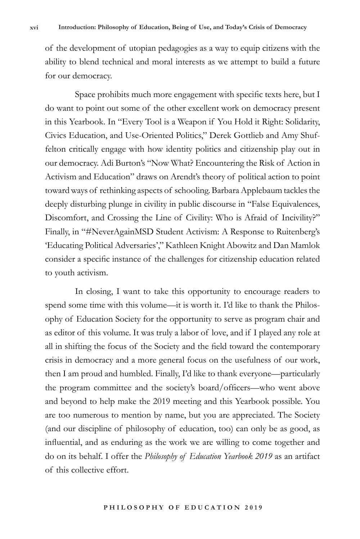of the development of utopian pedagogies as a way to equip citizens with the ability to blend technical and moral interests as we attempt to build a future for our democracy.

Space prohibits much more engagement with specific texts here, but I do want to point out some of the other excellent work on democracy present in this Yearbook. In "Every Tool is a Weapon if You Hold it Right: Solidarity, Civics Education, and Use-Oriented Politics," Derek Gottlieb and Amy Shuffelton critically engage with how identity politics and citizenship play out in our democracy. Adi Burton's "Now What? Encountering the Risk of Action in Activism and Education" draws on Arendt's theory of political action to point toward ways of rethinking aspects of schooling. Barbara Applebaum tackles the deeply disturbing plunge in civility in public discourse in "False Equivalences, Discomfort, and Crossing the Line of Civility: Who is Afraid of Incivility?" Finally, in "#NeverAgainMSD Student Activism: A Response to Ruitenberg's 'Educating Political Adversaries'," Kathleen Knight Abowitz and Dan Mamlok consider a specific instance of the challenges for citizenship education related to youth activism.

In closing, I want to take this opportunity to encourage readers to spend some time with this volume—it is worth it. I'd like to thank the Philosophy of Education Society for the opportunity to serve as program chair and as editor of this volume. It was truly a labor of love, and if I played any role at all in shifting the focus of the Society and the field toward the contemporary crisis in democracy and a more general focus on the usefulness of our work, then I am proud and humbled. Finally, I'd like to thank everyone—particularly the program committee and the society's board/officers—who went above and beyond to help make the 2019 meeting and this Yearbook possible. You are too numerous to mention by name, but you are appreciated. The Society (and our discipline of philosophy of education, too) can only be as good, as influential, and as enduring as the work we are willing to come together and do on its behalf. I offer the *Philosophy of Education Yearbook 2019* as an artifact of this collective effort.